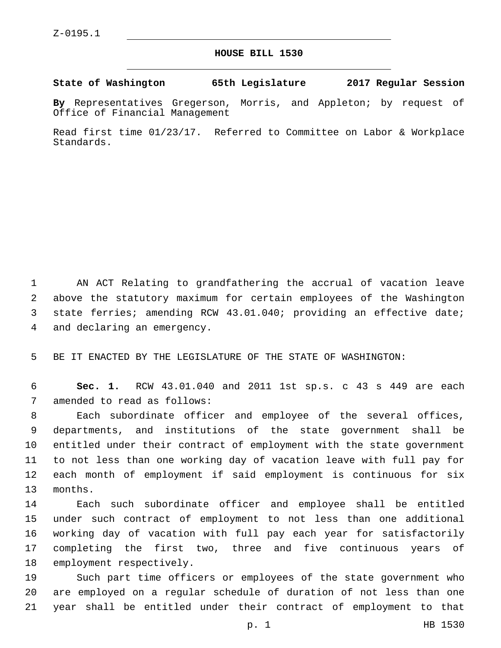## **HOUSE BILL 1530**

**State of Washington 65th Legislature 2017 Regular Session**

**By** Representatives Gregerson, Morris, and Appleton; by request of Office of Financial Management

Read first time 01/23/17. Referred to Committee on Labor & Workplace Standards.

 AN ACT Relating to grandfathering the accrual of vacation leave above the statutory maximum for certain employees of the Washington state ferries; amending RCW 43.01.040; providing an effective date; 4 and declaring an emergency.

5 BE IT ENACTED BY THE LEGISLATURE OF THE STATE OF WASHINGTON:

6 **Sec. 1.** RCW 43.01.040 and 2011 1st sp.s. c 43 s 449 are each 7 amended to read as follows:

 Each subordinate officer and employee of the several offices, departments, and institutions of the state government shall be entitled under their contract of employment with the state government to not less than one working day of vacation leave with full pay for each month of employment if said employment is continuous for six 13 months.

 Each such subordinate officer and employee shall be entitled under such contract of employment to not less than one additional working day of vacation with full pay each year for satisfactorily completing the first two, three and five continuous years of 18 employment respectively.

19 Such part time officers or employees of the state government who 20 are employed on a regular schedule of duration of not less than one 21 year shall be entitled under their contract of employment to that